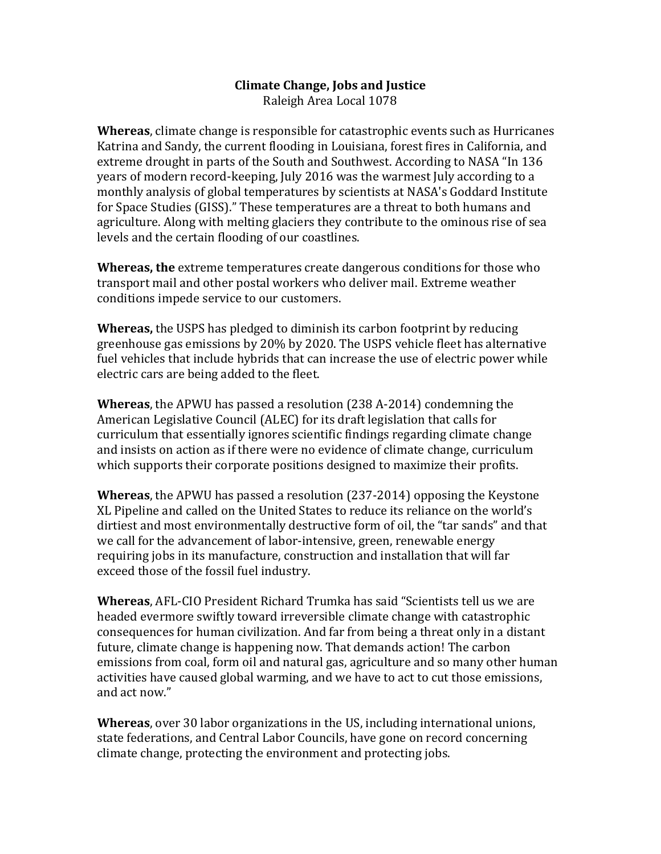## **Climate Change, Jobs and Justice**

Raleigh Area Local 1078

**Whereas**, climate change is responsible for catastrophic events such as Hurricanes Katrina and Sandy, the current flooding in Louisiana, forest fires in California, and extreme drought in parts of the South and Southwest. According to NASA "In 136 years of modern record-keeping, July 2016 was the warmest July according to a monthly analysis of global temperatures by scientists at NASA's Goddard Institute for Space Studies (GISS)." These temperatures are a threat to both humans and agriculture. Along with melting glaciers they contribute to the ominous rise of sea levels and the certain flooding of our coastlines.

**Whereas, the** extreme temperatures create dangerous conditions for those who transport mail and other postal workers who deliver mail. Extreme weather conditions impede service to our customers.

**Whereas,** the USPS has pledged to diminish its carbon footprint by reducing greenhouse gas emissions by 20% by 2020. The USPS vehicle fleet has alternative fuel vehicles that include hybrids that can increase the use of electric power while electric cars are being added to the fleet.

**Whereas**, the APWU has passed a resolution (238 A-2014) condemning the American Legislative Council (ALEC) for its draft legislation that calls for curriculum that essentially ignores scientific findings regarding climate change and insists on action as if there were no evidence of climate change, curriculum which supports their corporate positions designed to maximize their profits.

**Whereas**, the APWU has passed a resolution (237-2014) opposing the Keystone XL Pipeline and called on the United States to reduce its reliance on the world's dirtiest and most environmentally destructive form of oil, the "tar sands" and that we call for the advancement of labor-intensive, green, renewable energy requiring jobs in its manufacture, construction and installation that will far exceed those of the fossil fuel industry.

**Whereas**, AFL-CIO President Richard Trumka has said "Scientists tell us we are headed evermore swiftly toward irreversible climate change with catastrophic consequences for human civilization. And far from being a threat only in a distant future, climate change is happening now. That demands action! The carbon emissions from coal, form oil and natural gas, agriculture and so many other human activities have caused global warming, and we have to act to cut those emissions, and act now."

**Whereas**, over 30 labor organizations in the US, including international unions, state federations, and Central Labor Councils, have gone on record concerning climate change, protecting the environment and protecting jobs.